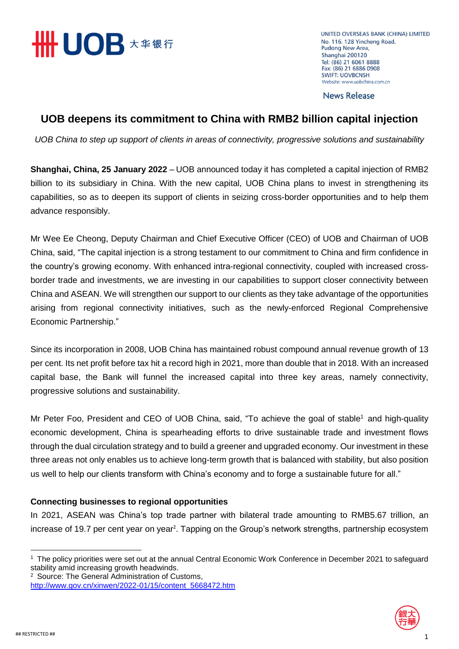

UNITED OVERSEAS BANK (CHINA) LIMITED No. 116, 128 Yincheng Road, Pudong New Area, Shanghai 200120 Tel: (86) 21 6061 8888 Fax: (86) 21 6886 0908 **SWIFT: UOVBCNSH** Website: www.uobchina.com.cn

**News Release** 

# **UOB deepens its commitment to China with RMB2 billion capital injection**

*UOB China to step up support of clients in areas of connectivity, progressive solutions and sustainability*

**Shanghai, China, 25 January 2022** – UOB announced today it has completed a capital injection of RMB2 billion to its subsidiary in China. With the new capital, UOB China plans to invest in strengthening its capabilities, so as to deepen its support of clients in seizing cross-border opportunities and to help them advance responsibly.

Mr Wee Ee Cheong, Deputy Chairman and Chief Executive Officer (CEO) of UOB and Chairman of UOB China, said, "The capital injection is a strong testament to our commitment to China and firm confidence in the country's growing economy. With enhanced intra-regional connectivity, coupled with increased crossborder trade and investments, we are investing in our capabilities to support closer connectivity between China and ASEAN. We will strengthen our support to our clients as they take advantage of the opportunities arising from regional connectivity initiatives, such as the newly-enforced Regional Comprehensive Economic Partnership."

Since its incorporation in 2008, UOB China has maintained robust compound annual revenue growth of 13 per cent. Its net profit before tax hit a record high in 2021, more than double that in 2018. With an increased capital base, the Bank will funnel the increased capital into three key areas, namely connectivity, progressive solutions and sustainability.

Mr Peter Foo, President and CEO of UOB China, said, "To achieve the goal of stable<sup>1</sup> and high-quality economic development, China is spearheading efforts to drive sustainable trade and investment flows through the dual circulation strategy and to build a greener and upgraded economy. Our investment in these three areas not only enables us to achieve long-term growth that is balanced with stability, but also position us well to help our clients transform with China's economy and to forge a sustainable future for all."

## **Connecting businesses to regional opportunities**

In 2021, ASEAN was China's top trade partner with bilateral trade amounting to RMB5.67 trillion, an increase of 19.7 per cent year on year<sup>2</sup>. Tapping on the Group's network strengths, partnership ecosystem



 $\ddot{\phantom{a}}$ 

<sup>1</sup> The policy priorities were set out at the annual Central Economic Work Conference in December 2021 to safeguard stability amid increasing growth headwinds.

<sup>2</sup> Source: The General Administration of Customs, [http://www.gov.cn/xinwen/2022-01/15/content\\_5668472.htm](http://www.gov.cn/xinwen/2022-01/15/content_5668472.htm)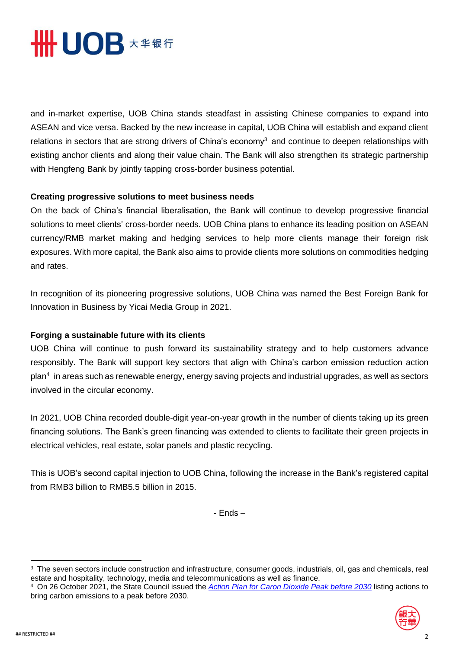

and in-market expertise, UOB China stands steadfast in assisting Chinese companies to expand into ASEAN and vice versa. Backed by the new increase in capital, UOB China will establish and expand client relations in sectors that are strong drivers of China's economy<sup>3</sup> and continue to deepen relationships with existing anchor clients and along their value chain. The Bank will also strengthen its strategic partnership with Hengfeng Bank by jointly tapping cross-border business potential.

## **Creating progressive solutions to meet business needs**

On the back of China's financial liberalisation, the Bank will continue to develop progressive financial solutions to meet clients' cross-border needs. UOB China plans to enhance its leading position on ASEAN currency/RMB market making and hedging services to help more clients manage their foreign risk exposures. With more capital, the Bank also aims to provide clients more solutions on commodities hedging and rates.

In recognition of its pioneering progressive solutions, UOB China was named the Best Foreign Bank for Innovation in Business by Yicai Media Group in 2021.

## **Forging a sustainable future with its clients**

UOB China will continue to push forward its sustainability strategy and to help customers advance responsibly. The Bank will support key sectors that align with China's carbon emission reduction action plan<sup>4</sup> in areas such as renewable energy, energy saving projects and industrial upgrades, as well as sectors involved in the circular economy.

In 2021, UOB China recorded double-digit year-on-year growth in the number of clients taking up its green financing solutions. The Bank's green financing was extended to clients to facilitate their green projects in electrical vehicles, real estate, solar panels and plastic recycling.

This is UOB's second capital injection to UOB China, following the increase in the Bank's registered capital from RMB3 billion to RMB5.5 billion in 2015.

- Ends –

<sup>4</sup> On 26 October 2021, the State Council issued the *[Action Plan for Caron Dioxide Peak before 2030](http://english.www.gov.cn/policies/latestreleases/202110/27/content_WS6178a47ec6d0df57f98e3dfb.html)* listing actions to bring carbon emissions to a peak before 2030.



 $\ddot{\phantom{a}}$ 

<sup>&</sup>lt;sup>3</sup> The seven sectors include construction and infrastructure, consumer goods, industrials, oil, gas and chemicals, real estate and hospitality, technology, media and telecommunications as well as finance.